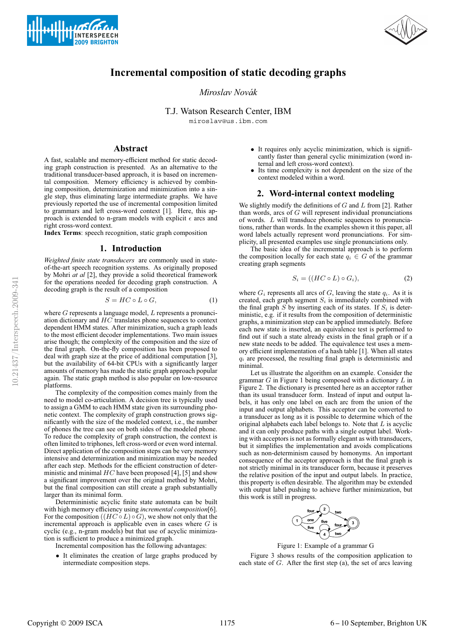



# **Incremental composition of static decoding graphs**

*Miroslav Novak´*

T.J. Watson Research Center, IBM

miroslav@us.ibm.com

# **Abstract**

A fast, scalable and memory-efficient method for static decoding graph construction is presented. As an alternative to the traditional transducer-based approach, it is based on incremental composition. Memory efficiency is achieved by combining composition, determinization and minimization into a single step, thus eliminating large intermediate graphs. We have previously reported the use of incremental composition limited to grammars and left cross-word context [1]. Here, this approach is extended to n-gram models with explicit  $\epsilon$  arcs and right cross-word context.

**Index Terms**: speech recognition, static graph composition

#### **1. Introduction**

*Weighted finite state transducers* are commonly used in stateof-the-art speech recognition systems. As originally proposed by Mohri *at al* [2], they provide a solid theoretical framework for the operations needed for decoding graph construction. A decoding graph is the result of a composition

$$
S = HC \circ L \circ G,\tag{1}
$$

where  $G$  represents a language model,  $L$  represents a pronunciation dictionary and HC translates phone sequences to context dependent HMM states. After minimization, such a graph leads to the most efficient decoder implementations. Two main issues arise though; the complexity of the composition and the size of the final graph. On-the-fly composition has been proposed to deal with graph size at the price of additional computation [3], but the availability of 64-bit CPUs with a significantly larger amounts of memory has made the static graph approach popular again. The static graph method is also popular on low-resource platforms.

The complexity of the composition comes mainly from the need to model co-articulation. A decision tree is typically used to assign a GMM to each HMM state given its surrounding phonetic context. The complexity of graph construction grows significantly with the size of the modeled context, i.e., the number of phones the tree can see on both sides of the modeled phone. To reduce the complexity of graph construction, the context is often limited to triphones, left cross-word or even word internal. Direct application of the composition steps can be very memory intensive and determinization and minimization may be needed after each step. Methods for the efficient construction of deterministic and minimal  $HC$  have been proposed [4], [5] and show a significant improvement over the original method by Mohri, but the final composition can still create a graph substantially larger than its minimal form.

Determininistic acyclic finite state automata can be built with high memory efficiency using *incremental composition*[6]. For the composition  $((HC \circ L) \circ G)$ , we show not only that the incremental approach is applicable even in cases where  $G$  is cyclic (e.g., n-gram models) but that use of acyclic minimization is sufficient to produce a minimized graph.

Incremental composition has the following advantages:

It eliminates the creation of large graphs produced by intermediate composition steps.

- It requires only acyclic minimization, which is significantly faster than general cyclic minimization (word internal and left cross-word context).
- Its time complexity is not dependent on the size of the context modeled within a word.

## **2. Word-internal context modeling**

We slightly modify the definitions of  $G$  and  $L$  from [2]. Rather than words, arcs of  $G$  will represent individual pronunciations of words. L will transduce phonetic sequences to pronunciations, rather than words. In the examples shown it this paper, all word labels actually represent word pronunciations. For simplicity, all presented examples use single pronunciations only.

The basic idea of the incremental approach is to perform the composition locally for each state  $q_i \in G$  of the grammar creating graph segments

$$
S_i = ((HC \circ L) \circ G_i), \tag{2}
$$

where  $G_i$  represents all arcs of G, leaving the state  $q_i$ . As it is created, each graph segment  $S_i$  is immediately combined with the final graph  $S$  by inserting each of its states. If  $S_i$  is deterministic, e.g. if it results from the composition of deterministic graphs, a minimization step can be applied immediately. Before each new state is inserted, an equivalence test is performed to find out if such a state already exists in the final graph or if a new state needs to be added. The equivalence test uses a memory efficient implementation of a hash table [1]. When all states  $q_i$  are processed, the resulting final graph is deterministic and minimal.

Let us illustrate the algorithm on an example. Consider the grammar  $G$  in Figure 1 being composed with a dictionary  $L$  in Figure 2. The dictionary is presented here as an acceptor rather than its usual transducer form. Instead of input and output labels, it has only one label on each arc from the union of the input and output alphabets. This acceptor can be converted to a transducer as long as it is possible to determine which of the original alphabets each label belongs to. Note that  $L$  is acyclic and it can only produce paths with a single output label. Working with acceptors is not as formally elegant as with transducers, but it simplifies the implementation and avoids complications such as non-determinism caused by homonyms. An important consequence of the acceptor approach is that the final graph is not strictly minimal in its transducer form, because it preserves the relative position of the input and output labels. In practice, this property is often desirable. The algorithm may be extended with output label pushing to achieve further minimization, but this work is still in progress.



Figure 1: Example of a grammar G

Figure 3 shows results of the composition application to each state of G. After the first step (a), the set of arcs leaving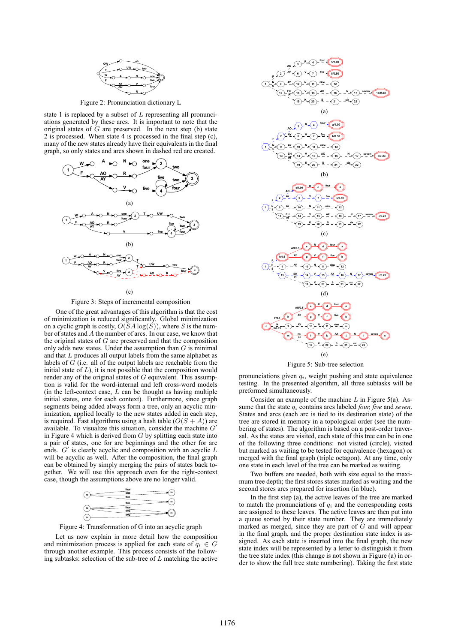

Figure 2: Pronunciation dictionary L

state 1 is replaced by a subset of  $L$  representing all pronunciations generated by these arcs. It is important to note that the original states of  $G$  are preserved. In the next step (b) state 2 is processed. When state 4 is processed in the final step (c), many of the new states already have their equivalents in the final graph, so only states and arcs shown in dashed red are created.



 $(c)$ 

Figure 3: Steps of incremental composition

One of the great advantages of this algorithm is that the cost of minimization is reduced significantly. Global minimization on a cyclic graph is costly,  $O(SA \log(S))$ , where S is the number of states and A the number of arcs. In our case, we know that the original states of  $G$  are preserved and that the composition only adds new states. Under the assumption than  $G$  is minimal and that  $L$  produces all output labels from the same alphabet as labels of G (i.e. all of the output labels are reachable from the initial state of  $L$ ), it is not possible that the composition would render any of the original states of  $G$  equivalent. This assumption is valid for the word-internal and left cross-word models (in the left-context case,  $L$  can be thought as having multiple initial states, one for each context). Furthermore, since graph segments being added always form a tree, only an acyclic minimization, applied locally to the new states added in each step, is required. Fast algorithms using a hash table  $(O(S + A))$  are available. To visualize this situation, consider the machine  $G'$ in Figure 4 which is derived from  $G$  by splitting each state into a pair of states, one for arc beginnings and the other for arc ends.  $G'$  is clearly acyclic and composition with an acyclic  $L$ will be acyclic as well. After the composition, the final graph can be obtained by simply merging the pairs of states back together. We will use this approach even for the right-context case, though the assumptions above are no longer valid.



Figure 4: Transformation of G into an acyclic graph

Let us now explain in more detail how the composition and minimization process is applied for each state of  $q_i \in G$ through another example. This process consists of the following subtasks: selection of the sub-tree of  $L$  matching the active



Figure 5: Sub-tree selection

pronunciations given  $q_i$ , weight pushing and state equivalence testing. In the presented algorithm, all three subtasks will be preformed simultaneously.

Consider an example of the machine  $L$  in Figure 5(a). Assume that the state  $q_i$  contains arcs labeled *four, five* and *seven*. States and arcs (each arc is tied to its destination state) of the tree are stored in memory in a topological order (see the numbering of states). The algorithm is based on a post-order traversal. As the states are visited, each state of this tree can be in one of the following three conditions: not visited (circle), visited but marked as waiting to be tested for equivalence (hexagon) or merged with the final graph (triple octagon). At any time, only one state in each level of the tree can be marked as waiting.

Two buffers are needed, both with size equal to the maximum tree depth; the first stores states marked as waiting and the second stores arcs prepared for insertion (in blue).

In the first step (a), the active leaves of the tree are marked to match the pronunciations of  $q_i$  and the corresponding costs are assigned to these leaves. The active leaves are then put into a queue sorted by their state number. They are immediately marked as merged, since they are part of  $G$  and will appear in the final graph, and the proper destination state index is assigned. As each state is inserted into the final graph, the new state index will be represented by a letter to distinguish it from the tree state index (this change is not shown in Figure (a) in order to show the full tree state numbering). Taking the first state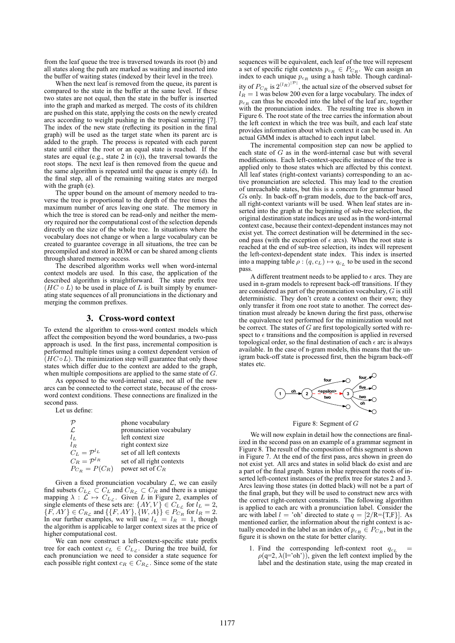from the leaf queue the tree is traversed towards its root (b) and all states along the path are marked as waiting and inserted into the buffer of waiting states (indexed by their level in the tree).

When the next leaf is removed from the queue, its parent is compared to the state in the buffer at the same level. If these two states are not equal, then the state in the buffer is inserted into the graph and marked as merged. The costs of its children are pushed on this state, applying the costs on the newly created arcs according to weight pushing in the tropical semiring [7]. The index of the new state (reflecting its position in the final graph) will be used as the target state when its parent arc is added to the graph. The process is repeated with each parent state until either the root or an equal state is reached. If the states are equal (e.g., state 2 in  $(c)$ ), the traversal towards the root stops. The next leaf is then removed from the queue and the same algorithm is repeated until the queue is empty (d). In the final step, all of the remaining waiting states are merged with the graph (e).

The upper bound on the amount of memory needed to traverse the tree is proportional to the depth of the tree times the maximum number of arcs leaving one state. The memory in which the tree is stored can be read-only and neither the memory required nor the computational cost of the selection depends directly on the size of the whole tree. In situations where the vocabulary does not change or when a large vocabulary can be created to guarantee coverage in all situations, the tree can be precompiled and stored in ROM or can be shared among clients through shared memory access.

The described algorithm works well when word-internal context models are used. In this case, the application of the described algorithm is straightforward. The state prefix tree  $(HC \circ L)$  to be used in place of L is built simply by enumerating state sequences of all pronunciations in the dictionary and merging the common prefixes.

### **3. Cross-word context**

To extend the algorithm to cross-word context models which affect the composition beyond the word boundaries, a two-pass approach is used. In the first pass, incremental composition is performed multiple times using a context dependent version of  $(HC \circ L)$ . The minimization step will guarantee that only those states which differ due to the context are added to the graph, when multiple compositions are applied to the same state of  $G$ .

As opposed to the word-internal case, not all of the new arcs can be connected to the correct state, because of the crossword context conditions. These connections are finalized in the second pass.

Let us define:

|                           | phone vocabulary          |
|---------------------------|---------------------------|
| L.                        | pronunciation vocabulary  |
| $l_{L}$                   | left context size         |
| $l_B$                     | right context size        |
| $C_L = \mathcal{P}^{l_L}$ | set of all left contexts  |
| $C_R = \mathcal{P}^{l_R}$ | set of all right contexts |
| $P_{C_R} = P(C_R)$        | power set of $C_R$        |

Given a fixed pronunciation vocabulary  $\mathcal{L}$ , we can easily find subsets  $C_{L_c} \subset C_L$  and  $C_{R_c} \subset C_R$  and there is a unique mapping  $\lambda : \mathcal{L} \mapsto C_{L_{\mathcal{L}}}$ . Given L in Figure 2, examples of single elements of these sets are:  $\{AY, V\} \in C_{L_{\mathcal{L}}}$  for  $l_L = 2$ ,  $\{F, AY\} \in C_{R_{\mathcal{L}}}$  and  $\{\{F, AY\}, \{W, A\}\} \in P_{C_R}$  for  $l_R = 2$ .<br>In our further examples, we will use  $l_L = l_R = 1$ , though the algorithm is applicable to larger context sizes at the price of higher computational cost.

We can now construct a left-context-specific state prefix tree for each context  $c_L \in C_{L_c}$ . During the tree build, for each pronunciation we need to consider a state sequence for each possible right context  $c_R \in C_{R_{\mathcal{L}}}$ . Since some of the state

sequences will be equivalent, each leaf of the tree will represent a set of specific right contexts  $p_{cR} \in P_{C_R}$ . We can assign an index to each unique  $p_{c_R}$  using a hash table. Though cardinality of  $P_{C_R}$  is  $2^{(l_R)^{|\mathcal{P}|}}$ , the actual size of the observed subset for  $l_R = 1$  was below 200 even for a large vocabulary. The index of  $p_{cR}$  can thus be encoded into the label of the leaf arc, together with the pronunciation index. The resulting tree is shown in Figure 6. The root state of the tree carries the information about the left context in which the tree was built, and each leaf state provides information about which context it can be used in. An actual GMM index is attached to each input label.

The incremental composition step can now be applied to each state of  $G$  as in the word-internal case but with several modifications. Each left-context-specific instance of the tree is applied only to those states which are affected by this context. All leaf states (right-context variants) corresponding to an active pronunciation are selected. This may lead to the creation of unreachable states, but this is a concern for grammar based Gs only. In back-off n-gram models, due to the back-off arcs, all right-context variants will be used. When leaf states are inserted into the graph at the beginning of sub-tree selection, the original destination state indices are used as in the word-internal context case, because their context-dependent instances may not exist yet. The correct destination will be determined in the second pass (with the exception of  $\epsilon$  arcs). When the root state is reached at the end of sub-tree selection, its index will represent the left-context-dependent state index. This index is inserted into a mapping table  $\rho : (q, c_L) \mapsto q_{c_L}$  to be used in the second pass.

A different treatment needs to be applied to  $\epsilon$  arcs. They are used in n-gram models to represent back-off transitions. If they are considered as part of the pronunciation vocabulary, G is still deterministic. They don't create a context on their own; they only transfer it from one root state to another. The correct destination must already be known during the first pass, otherwise the equivalence test performed for the minimization would not be correct. The states of  $G$  are first topologically sorted with respect to  $\epsilon$  transitions and the composition is applied in reversed topological order, so the final destination of each  $\epsilon$  arc is always available. In the case of n-gram models, this means that the unigram back-off state is processed first, then the bigram back-off states etc.



Figure 8: Segment of G

We will now explain in detail how the connections are finalized in the second pass on an example of a grammar segment in Figure 8. The result of the composition of this segment is shown in Figure 7. At the end of the first pass, arcs shown in green do not exist yet. All arcs and states in solid black do exist and are a part of the final graph. States in blue represent the roots of inserted left-context instances of the prefix tree for states 2 and 3. Arcs leaving those states (in dotted black) will not be a part of the final graph, but they will be used to construct new arcs with the correct right-context constraints. The following algorithm is applied to each arc with a pronunciation label. Consider the arc with label  $l =$  'oh' directed to state  $q = \lfloor 2/R = \{T,F\} \rfloor$ . As mentioned earlier, the information about the right context is actually encoded in the label as an index of  $p_{c_R} \in P_{C_R}$ , but in the figure it is shown on the state for better clarity.

1. Find the corresponding left-context root  $q_{c_L}$  =  $\rho(q=2, \lambda(l=$ 'oh')), given the left context implied by the label and the destination state, using the map created in